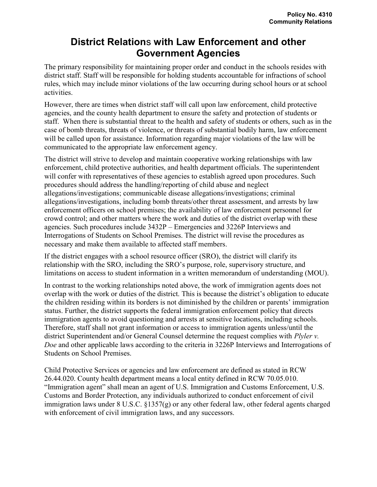## District Relations with Law Enforcement and other Government Agencies

The primary responsibility for maintaining proper order and conduct in the schools resides with district staff. Staff will be responsible for holding students accountable for infractions of school rules, which may include minor violations of the law occurring during school hours or at school activities.

However, there are times when district staff will call upon law enforcement, child protective agencies, and the county health department to ensure the safety and protection of students or staff. When there is substantial threat to the health and safety of students or others, such as in the case of bomb threats, threats of violence, or threats of substantial bodily harm, law enforcement will be called upon for assistance. Information regarding major violations of the law will be communicated to the appropriate law enforcement agency.

The district will strive to develop and maintain cooperative working relationships with law enforcement, child protective authorities, and health department officials. The superintendent will confer with representatives of these agencies to establish agreed upon procedures. Such procedures should address the handling/reporting of child abuse and neglect allegations/investigations; communicable disease allegations/investigations; criminal allegations/investigations, including bomb threats/other threat assessment, and arrests by law enforcement officers on school premises; the availability of law enforcement personnel for crowd control; and other matters where the work and duties of the district overlap with these agencies. Such procedures include 3432P – Emergencies and 3226P Interviews and Interrogations of Students on School Premises. The district will revise the procedures as necessary and make them available to affected staff members.

If the district engages with a school resource officer (SRO), the district will clarify its relationship with the SRO, including the SRO's purpose, role, supervisory structure, and limitations on access to student information in a written memorandum of understanding (MOU).

In contrast to the working relationships noted above, the work of immigration agents does not overlap with the work or duties of the district. This is because the district's obligation to educate the children residing within its borders is not diminished by the children or parents' immigration status. Further, the district supports the federal immigration enforcement policy that directs immigration agents to avoid questioning and arrests at sensitive locations, including schools. Therefore, staff shall not grant information or access to immigration agents unless/until the district Superintendent and/or General Counsel determine the request complies with *Plyler v*. Doe and other applicable laws according to the criteria in 3226P Interviews and Interrogations of Students on School Premises.

Child Protective Services or agencies and law enforcement are defined as stated in RCW 26.44.020. County health department means a local entity defined in RCW 70.05.010. "Immigration agent" shall mean an agent of U.S. Immigration and Customs Enforcement, U.S. Customs and Border Protection, any individuals authorized to conduct enforcement of civil immigration laws under 8 U.S.C. §1357(g) or any other federal law, other federal agents charged with enforcement of civil immigration laws, and any successors.